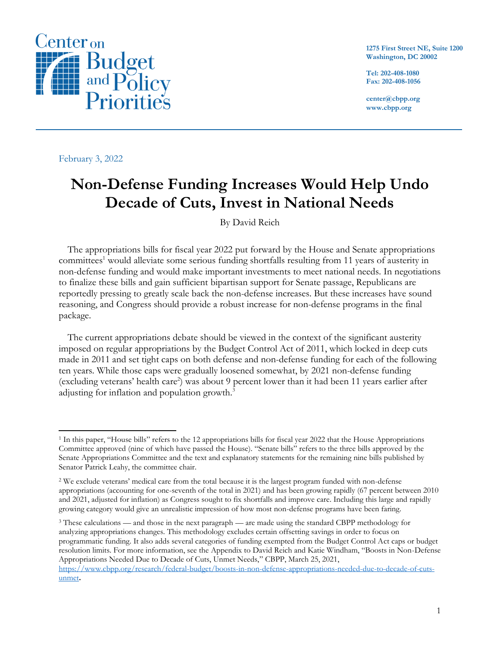

**1275 First Street NE, Suite 1200 Washington, DC 20002**

**Tel: 202-408-1080 Fax: 202-408-1056**

**center@cbpp.org www.cbpp.org**

February 3, 2022

## **Non-Defense Funding Increases Would Help Undo Decade of Cuts, Invest in National Needs**

By David Reich

The appropriations bills for fiscal year 2022 put forward by the House and Senate appropriations committees<sup>1</sup> would alleviate some serious funding shortfalls resulting from 11 years of austerity in non-defense funding and would make important investments to meet national needs. In negotiations to finalize these bills and gain sufficient bipartisan support for Senate passage, Republicans are reportedly pressing to greatly scale back the non-defense increases. But these increases have sound reasoning, and Congress should provide a robust increase for non-defense programs in the final package.

The current appropriations debate should be viewed in the context of the significant austerity imposed on regular appropriations by the Budget Control Act of 2011, which locked in deep cuts made in 2011 and set tight caps on both defense and non-defense funding for each of the following ten years. While those caps were gradually loosened somewhat, by 2021 non-defense funding (excluding veterans' health care<sup>2</sup>) was about 9 percent lower than it had been 11 years earlier after adjusting for inflation and population growth.<sup>3</sup>

<sup>3</sup> These calculations — and those in the next paragraph — are made using the standard CBPP methodology for analyzing appropriations changes. This methodology excludes certain offsetting savings in order to focus on programmatic funding. It also adds several categories of funding exempted from the Budget Control Act caps or budget resolution limits. For more information, see the Appendix to David Reich and Katie Windham, "Boosts in Non-Defense Appropriations Needed Due to Decade of Cuts, Unmet Needs," CBPP, March 25, 2021, [https://www.cbpp.org/research/federal-budget/boosts-in-non-defense-appropriations-needed-due-to-decade-of-cuts-](https://www.cbpp.org/research/federal-budget/boosts-in-non-defense-appropriations-needed-due-to-decade-of-cuts-unmet)

<sup>1</sup> In this paper, "House bills" refers to the 12 appropriations bills for fiscal year 2022 that the House Appropriations Committee approved (nine of which have passed the House). "Senate bills" refers to the three bills approved by the Senate Appropriations Committee and the text and explanatory statements for the remaining nine bills published by Senator Patrick Leahy, the committee chair.

<sup>2</sup> We exclude veterans' medical care from the total because it is the largest program funded with non-defense appropriations (accounting for one-seventh of the total in 2021) and has been growing rapidly (67 percent between 2010 and 2021, adjusted for inflation) as Congress sought to fix shortfalls and improve care. Including this large and rapidly growing category would give an unrealistic impression of how most non-defense programs have been faring.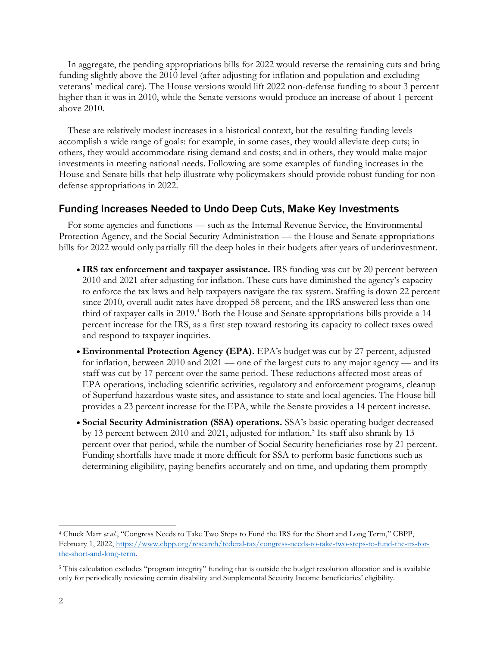In aggregate, the pending appropriations bills for 2022 would reverse the remaining cuts and bring funding slightly above the 2010 level (after adjusting for inflation and population and excluding veterans' medical care). The House versions would lift 2022 non-defense funding to about 3 percent higher than it was in 2010, while the Senate versions would produce an increase of about 1 percent above 2010.

These are relatively modest increases in a historical context, but the resulting funding levels accomplish a wide range of goals: for example, in some cases, they would alleviate deep cuts; in others, they would accommodate rising demand and costs; and in others, they would make major investments in meeting national needs. Following are some examples of funding increases in the House and Senate bills that help illustrate why policymakers should provide robust funding for nondefense appropriations in 2022.

## Funding Increases Needed to Undo Deep Cuts, Make Key Investments

For some agencies and functions — such as the Internal Revenue Service, the Environmental Protection Agency, and the Social Security Administration — the House and Senate appropriations bills for 2022 would only partially fill the deep holes in their budgets after years of underinvestment.

- **IRS tax enforcement and taxpayer assistance.** IRS funding was cut by 20 percent between 2010 and 2021 after adjusting for inflation. These cuts have diminished the agency's capacity to enforce the tax laws and help taxpayers navigate the tax system. Staffing is down 22 percent since 2010, overall audit rates have dropped 58 percent, and the IRS answered less than onethird of taxpayer calls in 2019.<sup>4</sup> Both the House and Senate appropriations bills provide a 14 percent increase for the IRS, as a first step toward restoring its capacity to collect taxes owed and respond to taxpayer inquiries.
- **Environmental Protection Agency (EPA).** EPA's budget was cut by 27 percent, adjusted for inflation, between 2010 and 2021 — one of the largest cuts to any major agency — and its staff was cut by 17 percent over the same period. These reductions affected most areas of EPA operations, including scientific activities, regulatory and enforcement programs, cleanup of Superfund hazardous waste sites, and assistance to state and local agencies. The House bill provides a 23 percent increase for the EPA, while the Senate provides a 14 percent increase.
- **Social Security Administration (SSA) operations.** SSA's basic operating budget decreased by 13 percent between 2010 and 2021, adjusted for inflation. 5 Its staff also shrank by 13 percent over that period, while the number of Social Security beneficiaries rose by 21 percent. Funding shortfalls have made it more difficult for SSA to perform basic functions such as determining eligibility, paying benefits accurately and on time, and updating them promptly

<sup>4</sup> Chuck Marr *et al*., "Congress Needs to Take Two Steps to Fund the IRS for the Short and Long Term," CBPP, February 1, 2022, [https://www.cbpp.org/research/federal-tax/congress-needs-to-take-two-steps-to-fund-the-irs-for](https://www.cbpp.org/research/federal-tax/congress-needs-to-take-two-steps-to-fund-the-irs-for-the-short-and-long-term)[the-short-and-long-term.](https://www.cbpp.org/research/federal-tax/congress-needs-to-take-two-steps-to-fund-the-irs-for-the-short-and-long-term)

<sup>5</sup> This calculation excludes "program integrity" funding that is outside the budget resolution allocation and is available only for periodically reviewing certain disability and Supplemental Security Income beneficiaries' eligibility.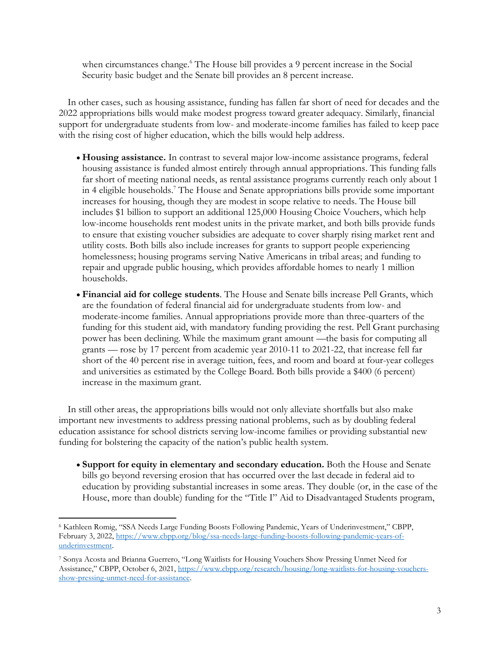when circumstances change.<sup>6</sup> The House bill provides a 9 percent increase in the Social Security basic budget and the Senate bill provides an 8 percent increase.

In other cases, such as housing assistance, funding has fallen far short of need for decades and the 2022 appropriations bills would make modest progress toward greater adequacy. Similarly, financial support for undergraduate students from low- and moderate-income families has failed to keep pace with the rising cost of higher education, which the bills would help address.

- **Housing assistance.** In contrast to several major low-income assistance programs, federal housing assistance is funded almost entirely through annual appropriations. This funding falls far short of meeting national needs, as rental assistance programs currently reach only about 1 in 4 eligible households. <sup>7</sup> The House and Senate appropriations bills provide some important increases for housing, though they are modest in scope relative to needs. The House bill includes \$1 billion to support an additional 125,000 Housing Choice Vouchers, which help low-income households rent modest units in the private market, and both bills provide funds to ensure that existing voucher subsidies are adequate to cover sharply rising market rent and utility costs. Both bills also include increases for grants to support people experiencing homelessness; housing programs serving Native Americans in tribal areas; and funding to repair and upgrade public housing, which provides affordable homes to nearly 1 million households.
- **Financial aid for college students**. The House and Senate bills increase Pell Grants, which are the foundation of federal financial aid for undergraduate students from low- and moderate-income families. Annual appropriations provide more than three-quarters of the funding for this student aid, with mandatory funding providing the rest. Pell Grant purchasing power has been declining. While the maximum grant amount —the basis for computing all grants — rose by 17 percent from academic year 2010-11 to 2021-22, that increase fell far short of the 40 percent rise in average tuition, fees, and room and board at four-year colleges and universities as estimated by the College Board. Both bills provide a \$400 (6 percent) increase in the maximum grant.

In still other areas, the appropriations bills would not only alleviate shortfalls but also make important new investments to address pressing national problems, such as by doubling federal education assistance for school districts serving low-income families or providing substantial new funding for bolstering the capacity of the nation's public health system.

• **Support for equity in elementary and secondary education.** Both the House and Senate bills go beyond reversing erosion that has occurred over the last decade in federal aid to education by providing substantial increases in some areas. They double (or, in the case of the House, more than double) funding for the "Title I" Aid to Disadvantaged Students program,

<sup>6</sup> Kathleen Romig, "SSA Needs Large Funding Boosts Following Pandemic, Years of Underinvestment," CBPP, February 3, 2022, [https://www.cbpp.org/blog/ssa-needs-large-funding-boosts-following-pandemic-years-of](https://www.cbpp.org/blog/ssa-needs-large-funding-boosts-following-pandemic-years-of-underinvestment)[underinvestment.](https://www.cbpp.org/blog/ssa-needs-large-funding-boosts-following-pandemic-years-of-underinvestment)

<sup>7</sup> Sonya Acosta and Brianna Guerrero, "Long Waitlists for Housing Vouchers Show Pressing Unmet Need for Assistance," CBPP, October 6, 2021, [https://www.cbpp.org/research/housing/long-waitlists-for-housing-vouchers](https://www.cbpp.org/research/housing/long-waitlists-for-housing-vouchers-show-pressing-unmet-need-for-assistance)[show-pressing-unmet-need-for-assistance.](https://www.cbpp.org/research/housing/long-waitlists-for-housing-vouchers-show-pressing-unmet-need-for-assistance)